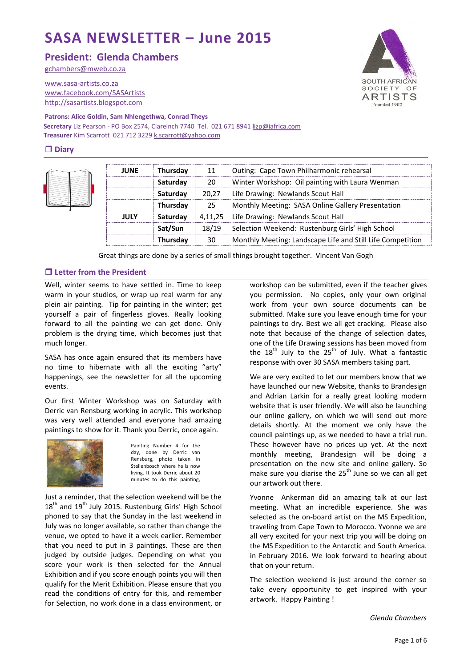# **SASA NEWSLETTER – June 2015**

**President: Glenda Chambers**

[gchambers@mweb.co.za](mailto:lindahe@vitalitybroadband.co.za)

[www.sasa-artists.co.za](http://www.sasa-artists.co.za/) [www.facebook.com/SASArtists](http://www.facebook.com/SASArtists) [http://sasartists.blogspot.com](http://sasartists.blogspot.com/)

SOUTH AFRICAN SOCIETY OF **ARTISTS** Founded 1902

#### **Patrons: Alice Goldin, Sam Nhlengethwa, Conrad Theys**

**Secretary** Liz Pearson - PO Box 2574, Clareinch 7740 Tel. 021 671 894[1 lizp@iafrica.com](mailto:lizp@iafrica.com) **Treasurer** Kim Scarrott 021 712 3229 [k.scarrott@yahoo.com](mailto:k.scarrott@yahoo.com)

# **Diary**



| <b>JUNE</b> | Thursday | 11      | Outing: Cape Town Philharmonic rehearsal                   |
|-------------|----------|---------|------------------------------------------------------------|
|             | Saturday | 20      | Winter Workshop: Oil painting with Laura Wenman            |
|             | Saturday | 20.27   | Life Drawing: Newlands Scout Hall                          |
|             | Thursday | 25      | Monthly Meeting: SASA Online Gallery Presentation          |
| JULY        | Saturday | 4.11.25 | Life Drawing: Newlands Scout Hall                          |
|             | Sat/Sun  | 18/19   | Selection Weekend: Rustenburg Girls' High School           |
|             | Thursday | 30      | Monthly Meeting: Landscape Life and Still Life Competition |

Great things are done by a series of small things brought together. Vincent Van Gogh

#### **Letter from the President**

Well, winter seems to have settled in. Time to keep warm in your studios, or wrap up real warm for any plein air painting. Tip for painting in the winter; get yourself a pair of fingerless gloves. Really looking forward to all the painting we can get done. Only problem is the drying time, which becomes just that much longer.

SASA has once again ensured that its members have no time to hibernate with all the exciting "arty" happenings, see the newsletter for all the upcoming events.

Our first Winter Workshop was on Saturday with Derric van Rensburg working in acrylic. This workshop was very well attended and everyone had amazing paintings to show for it. Thank you Derric, once again.



Painting Number 4 for the day, done by Derric van Rensburg, photo taken in Stellenbosch where he is now living. It took Derric about 20 minutes to do this painting,

Just a reminder, that the selection weekend will be the  $18<sup>th</sup>$  and  $19<sup>th</sup>$  July 2015. Rustenburg Girls' High School phoned to say that the Sunday in the last weekend in July was no longer available, so rather than change the venue, we opted to have it a week earlier. Remember that you need to put in 3 paintings. These are then judged by outside judges. Depending on what you score your work is then selected for the Annual Exhibition and if you score enough points you will then qualify for the Merit Exhibition. Please ensure that you read the conditions of entry for this, and remember for Selection, no work done in a class environment, or workshop can be submitted, even if the teacher gives you permission. No copies, only your own original work from your own source documents can be submitted. Make sure you leave enough time for your paintings to dry. Best we all get cracking. Please also note that because of the change of selection dates, one of the Life Drawing sessions has been moved from the  $18<sup>th</sup>$  July to the  $25<sup>th</sup>$  of July. What a fantastic response with over 30 SASA members taking part.

We are very excited to let our members know that we have launched our new Website, thanks to Brandesign and Adrian Larkin for a really great looking modern website that is user friendly. We will also be launching our online gallery, on which we will send out more details shortly. At the moment we only have the council paintings up, as we needed to have a trial run. These however have no prices up yet. At the next monthly meeting, Brandesign will be doing a presentation on the new site and online gallery. So make sure you diarise the  $25<sup>th</sup>$  June so we can all get our artwork out there.

Yvonne Ankerman did an amazing talk at our last meeting. What an incredible experience. She was selected as the on-board artist on the MS Expedition, traveling from Cape Town to Morocco. Yvonne we are all very excited for your next trip you will be doing on the MS Expedition to the Antarctic and South America. in February 2016. We look forward to hearing about that on your return.

The selection weekend is just around the corner so take every opportunity to get inspired with your artwork. Happy Painting !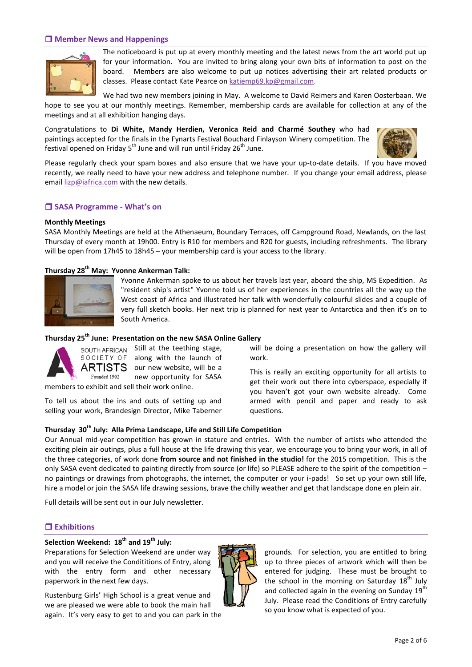#### **Member News and Happenings**



The noticeboard is put up at every monthly meeting and the latest news from the art world put up for your information. You are invited to bring along your own bits of information to post on the board. Members are also welcome to put up notices advertising their art related products or classes. Please contact Kate Pearce on [katiemp69.kp@gmail.com.](mailto:katiemp69.kp@gmail.com)

We had two new members joining in May. A welcome to David Reimers and Karen Oosterbaan. We hope to see you at our monthly meetings. Remember, membership cards are available for collection at any of the meetings and at all exhibition hanging days.

Congratulations to **Di White, Mandy Herdien, Veronica Reid and Charmé Southey** who had paintings accepted for the finals in the Fynarts Festival Bouchard Finlayson Winery competition. The festival opened on Friday 5<sup>th</sup> June and will run until Friday 26<sup>th</sup> June.



Please regularly check your spam boxes and also ensure that we have your up-to-date details. If you have moved recently, we really need to have your new address and telephone number. If you change your email address, please email [lizp@iafrica.com](mailto:lizp@iafrica.com) with the new details.

#### **SASA Programme - What's on**

#### **Monthly Meetings**

SASA Monthly Meetings are held at the Athenaeum, Boundary Terraces, off Campground Road, Newlands, on the last Thursday of every month at 19h00. Entry is R10 for members and R20 for guests, including refreshments. The library will be open from 17h45 to 18h45 – your membership card is your access to the library.

### **Thursday 28th May: Yvonne Ankerman Talk:**



Yvonne Ankerman spoke to us about her travels last year, aboard the ship, MS Expedition. As "resident ship's artist" Yvonne told us of her experiences in the countries all the way up the West coast of Africa and illustrated her talk with wonderfully colourful slides and a couple of very full sketch books. Her next trip is planned for next year to Antarctica and then it's on to South America.

# **Thursday 25th June: Presentation on the new SASA Online Gallery**



SOUTH AFRICAN Still at the teething stage, along with the launch of our new website, will be a new opportunity for SASA

members to exhibit and sell their work online.

To tell us about the ins and outs of setting up and selling your work, Brandesign Director, Mike Taberner

**Thursday 30th July: Alla Prima Landscape, Life and Still Life Competition** Our Annual mid-year competition has grown in stature and entries. With the number of artists who attended the exciting plein air outings, plus a full house at the life drawing this year, we encourage you to bring your work, in all of the three categories, of work done **from source and not finished in the studio!** for the 2015 competition. This is the only SASA event dedicated to painting directly from source (or life) so PLEASE adhere to the spirit of the competition – no paintings or drawings from photographs, the internet, the computer or your i-pads! So set up your own still life, hire a model or join the SASA life drawing sessions, brave the chilly weather and get that landscape done en plein air.

Full details will be sent out in our July newsletter.

#### **Exhibitions**

# **Selection Weekend: 18th and 19th July:**

Preparations for Selection Weekend are under way and you will receive the Condititions of Entry, along with the entry form and other necessary paperwork in the next few days.

Rustenburg Girls' High School is a great venue and we are pleased we were able to book the main hall again. It's very easy to get to and you can park in the



grounds. For selection, you are entitled to bring up to three pieces of artwork which will then be entered for judging. These must be brought to the school in the morning on Saturday  $18<sup>th</sup>$  July and collected again in the evening on Sunday  $19^{th}$ July. Please read the Conditions of Entry carefully so you know what is expected of you.

will be doing a presentation on how the gallery will work.

This is really an exciting opportunity for all artists to get their work out there into cyberspace, especially if you haven't got your own website already. Come armed with pencil and paper and ready to ask questions.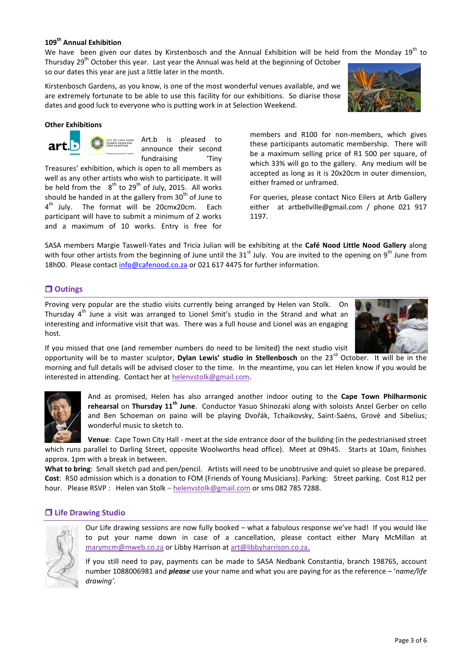# **109th Annual Exhibition**

We have been given our dates by Kirstenbosch and the Annual Exhibition will be held from the Monday 19<sup>th</sup> to Thursday 29<sup>th</sup> October this year. Last year the Annual was held at the beginning of October so our dates this year are just a little later in the month.

Kirstenbosch Gardens, as you know, is one of the most wonderful venues available, and we are extremely fortunate to be able to use this facility for our exhibitions. So diarise those dates and good luck to everyone who is putting work in at Selection Weekend.

> Art.b is pleased to announce their second fundraising 'Tiny

Treasures' exhibition, which is open to all members as well as any other artists who wish to participate. It will be held from the  $8<sup>th</sup>$  to 29<sup>th</sup> of July, 2015. All works should be handed in at the gallery from  $30<sup>th</sup>$  of June to 4<sup>th</sup> July. The format will be 20cmx20cm. Each participant will have to submit a minimum of 2 works and a maximum of 10 works. Entry is free for

wonderful music to sketch to.

#### **Other Exhibitions**

members and R100 for non-members, which gives these participants automatic membership. There will be a maximum selling price of R1 500 per square, of which 33% will go to the gallery. Any medium will be accepted as long as it is 20x20cm in outer dimension, either framed or unframed.

For queries, please contact Nico Eilers at Artb Gallery either at artbellville@gmail.com / phone 021 917 1197.

SASA members Margie Taswell-Yates and Tricia Julian will be exhibiting at the **Café Nood Little Nood Gallery** along with four other artists from the beginning of June until the  $31^{st}$  July. You are invited to the opening on 9<sup>th</sup> June from 18h00. Please contact [info@cafenood.co.za](mailto:info@cafenood.co.za) or 021 617 4475 for further information.

# **Outings**

Proving very popular are the studio visits currently being arranged by Helen van Stolk. On Thursday  $4<sup>th</sup>$  June a visit was arranged to Lionel Smit's studio in the Strand and what an interesting and informative visit that was. There was a full house and Lionel was an engaging host.

If you missed that one (and remember numbers do need to be limited) the next studio visit

opportunity will be to master sculptor, **Dylan Lewis' studio in Stellenbosch** on the 23rd October. It will be in the morning and full details will be advised closer to the time. In the meantime, you can let Helen know if you would be interested in attending. Contact her at [helenvstolk@gmail.com.](mailto:helenvstolk@gmail.com)

> And as promised, Helen has also arranged another indoor outing to the **Cape Town Philharmonic rehearsal** on **Thursday 11th June**. Conductor Yasuo Shinozaki along with soloists Anzel Gerber on cello and Ben Schoeman on paino will be playing Dvořák, Tchaikovsky, Saint-Saëns, Grové and Sibelius;

> **Venue**: Cape Town City Hall - meet at the side entrance door of the building (in the pedestrianised street

Our Life drawing sessions are now fully booked – what a fabulous response we've had! If you would like to put your name down in case of a cancellation, please contact either Mary McMillan at [marymcm@mweb.co.za](mailto:marymcm@mweb.co.za) or Libby Harrison at [art@libbyharrison.co.za.](mailto:art@libbyharrison.co.za)

If you still need to pay, payments can be made to SASA Nedbank Constantia, branch 198765, account number 1088006981 and *please* use your name and what you are paying for as the reference – '*name/life drawing'.*

# **Life Drawing Studio**







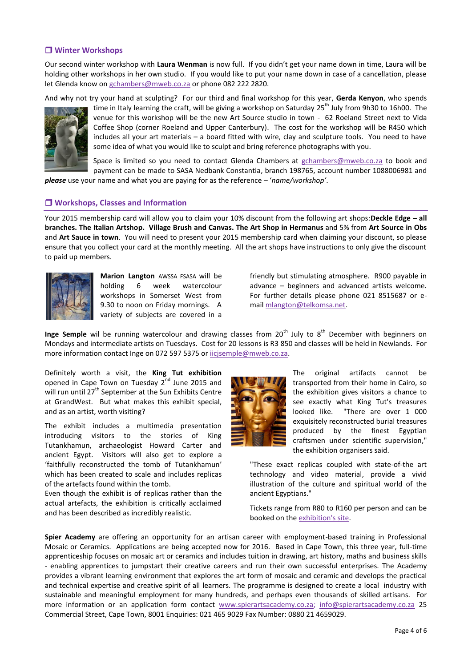# **Winter Workshops**

Our second winter workshop with **Laura Wenman** is now full. If you didn't get your name down in time, Laura will be holding other workshops in her own studio. If you would like to put your name down in case of a cancellation, please let Glenda know on [gchambers@mweb.co.za](mailto:gchambers@mweb.co.za) or phone 082 222 2820.

And why not try your hand at sculpting? For our third and final workshop for this year, **Gerda Kenyon**, who spends



time in Italy learning the craft, will be giving a workshop on Saturday 25<sup>th</sup> July from 9h30 to 16h00. The venue for this workshop will be the new Art Source studio in town - 62 Roeland Street next to Vida Coffee Shop (corner Roeland and Upper Canterbury). The cost for the workshop will be R450 which includes all your art materials – a board fitted with wire, clay and sculpture tools. You need to have some idea of what you would like to sculpt and bring reference photographs with you.

Space is limited so you need to contact Glenda Chambers at [gchambers@mweb.co.za](mailto:gchambers@mweb.co.za) to book and payment can be made to SASA Nedbank Constantia, branch 198765, account number 1088006981 and

*please* use your name and what you are paying for as the reference – '*name/workshop'*.

#### **Workshops, Classes and Information**

Your 2015 membership card will allow you to claim your 10% discount from the following art shops:**Deckle Edge – all branches. The Italian Artshop. Village Brush and Canvas. The Art Shop in Hermanus** and 5% from **Art Source in Obs** and **Art Sauce in town**. You will need to present your 2015 membership card when claiming your discount, so please ensure that you collect your card at the monthly meeting. All the art shops have instructions to only give the discount to paid up members.



**Marion Langton** AWSSA FSASA will be holding 6 week watercolour workshops in Somerset West from 9.30 to noon on Friday mornings. A variety of subjects are covered in a

friendly but stimulating atmosphere. R900 payable in advance – beginners and advanced artists welcome. For further details please phone 021 8515687 or email [mlangton@telkomsa.net.](mailto:mlangton@telkomsa.net)

Inge Semple wil be running watercolour and drawing classes from 20<sup>th</sup> July to 8<sup>th</sup> December with beginners on Mondays and intermediate artists on Tuesdays. Cost for 20 lessons is R3 850 and classes will be held in Newlands. For more information contact Inge on 072 597 5375 or [iicjsemple@mweb.co.za.](mailto:iicjsemple@mweb.co.za)

Definitely worth a visit, the **King Tut exhibition** opened in Cape Town on Tuesday 2<sup>nd</sup> June 2015 and will run until 27<sup>th</sup> September at the Sun Exhibits Centre at GrandWest. But what makes this exhibit special, and as an artist, worth visiting?

The exhibit includes a multimedia presentation introducing visitors to the stories of King Tutankhamun, archaeologist Howard Carter and ancient Egypt. Visitors will also get to explore a 'faithfully reconstructed the tomb of Tutankhamun' which has been created to scale and includes replicas of the artefacts found within the tomb.

Even though the exhibit is of replicas rather than the actual artefacts, the exhibition is critically acclaimed and has been described as incredibly realistic.



The original artifacts cannot be transported from their home in Cairo, so the exhibition gives visitors a chance to see exactly what King Tut's treasures looked like. "There are over 1 000 exquisitely reconstructed burial treasures produced by the finest Egyptian craftsmen under scientific supervision," the exhibition organisers said.

"These exact replicas coupled with state-of-the art technology and video material, provide a vivid illustration of the culture and spiritual world of the ancient Egyptians."

Tickets range from R80 to R160 per person and can be booked on the [exhibition's site.](tut-exhibition.co.za)

**Spier Academy** are offering an opportunity for an artisan career with employment-based training in Professional Mosaic or Ceramics. Applications are being accepted now for 2016. Based in Cape Town, this three year, full-time apprenticeship focuses on mosaic art or ceramics and includes tuition in drawing, art history, maths and business skills - enabling apprentices to jumpstart their creative careers and run their own successful enterprises. The Academy provides a vibrant learning environment that explores the art form of mosaic and ceramic and develops the practical and technical expertise and creative spirit of all learners. The programme is designed to create a local industry with sustainable and meaningful employment for many hundreds, and perhaps even thousands of skilled artisans. For more information or an application form contact [www.spierartsacademy.co.za;](http://www.spierartsacademy.co.za/) [info@spierartsacademy.co.za](mailto:info@spierartsacademy.co.za) 25 Commercial Street, Cape Town, 8001 Enquiries: 021 465 9029 Fax Number: 0880 21 4659029.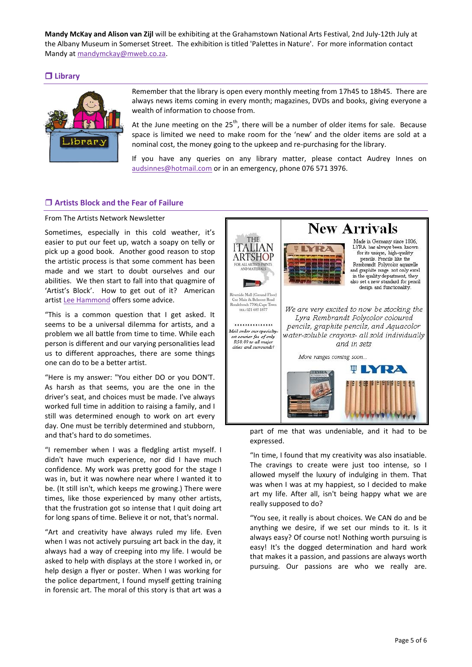**Mandy McKay and Alison van Zijl** will be exhibiting at the Grahamstown National Arts Festival, 2nd July-12th July at the Albany Museum in Somerset Street. The exhibition is titled 'Palettes in Nature'. For more information contact Mandy a[t mandymckay@mweb.co.za.](mailto:mandymckay@mweb.co.za)

# **Library**



Remember that the library is open every monthly meeting from 17h45 to 18h45. There are always news items coming in every month; magazines, DVDs and books, giving everyone a wealth of information to choose from.

At the June meeting on the  $25<sup>th</sup>$ , there will be a number of older items for sale. Because space is limited we need to make room for the 'new' and the older items are sold at a nominal cost, the money going to the upkeep and re-purchasing for the library.

If you have any queries on any library matter, please contact Audrey Innes on [audsinnes@hotmail.com](mailto:audsinnes@hotmail.com) or in an emergency, phone 076 571 3976.

# **Artists Block and the Fear of Failure**

#### From The Artists Network Newsletter

Sometimes, especially in this cold weather, it's easier to put our feet up, watch a soapy on telly or pick up a good book. Another good reason to stop the artistic process is that some comment has been made and we start to doubt ourselves and our abilities. We then start to fall into that quagmire of 'Artist's Block'. How to get out of it? American artist [Lee Hammond](ww.artistsnetwork.com/articles/inspiration-creativity/artists-block-fear-of-failure) offers some advice.

"This is a common question that I get asked. It seems to be a universal dilemma for artists, and a problem we all battle from time to time. While each person is different and our varying personalities lead us to different approaches, there are some things one can do to be a better artist.

"Here is my answer: "You either DO or you DON'T. As harsh as that seems, you are the one in the driver's seat, and choices must be made. I've always worked full time in addition to raising a family, and I still was determined enough to work on art every day. One must be terribly determined and stubborn, and that's hard to do sometimes.

"I remember when I was a fledgling artist myself. I didn't have much experience, nor did I have much confidence. My work was pretty good for the stage I was in, but it was nowhere near where I wanted it to be. (It still isn't, which keeps me growing.) There were times, like those experienced by many other artists, that the frustration got so intense that I quit doing art for long spans of time. Believe it or not, that's normal.

"Art and creativity have always ruled my life. Even when I was not actively pursuing art back in the day, it always had a way of creeping into my life. I would be asked to help with displays at the store I worked in, or help design a flyer or poster. When I was working for the police department, I found myself getting training in forensic art. The moral of this story is that art was a



expressed.

"In time, I found that my creativity was also insatiable. The cravings to create were just too intense, so I allowed myself the luxury of indulging in them. That was when I was at my happiest, so I decided to make art my life. After all, isn't being happy what we are really supposed to do?

"You see, it really is about choices. We CAN do and be anything we desire, if we set our minds to it. Is it always easy? Of course not! Nothing worth pursuing is easy! It's the dogged determination and hard work that makes it a passion, and passions are always worth pursuing. Our passions are who we really are.